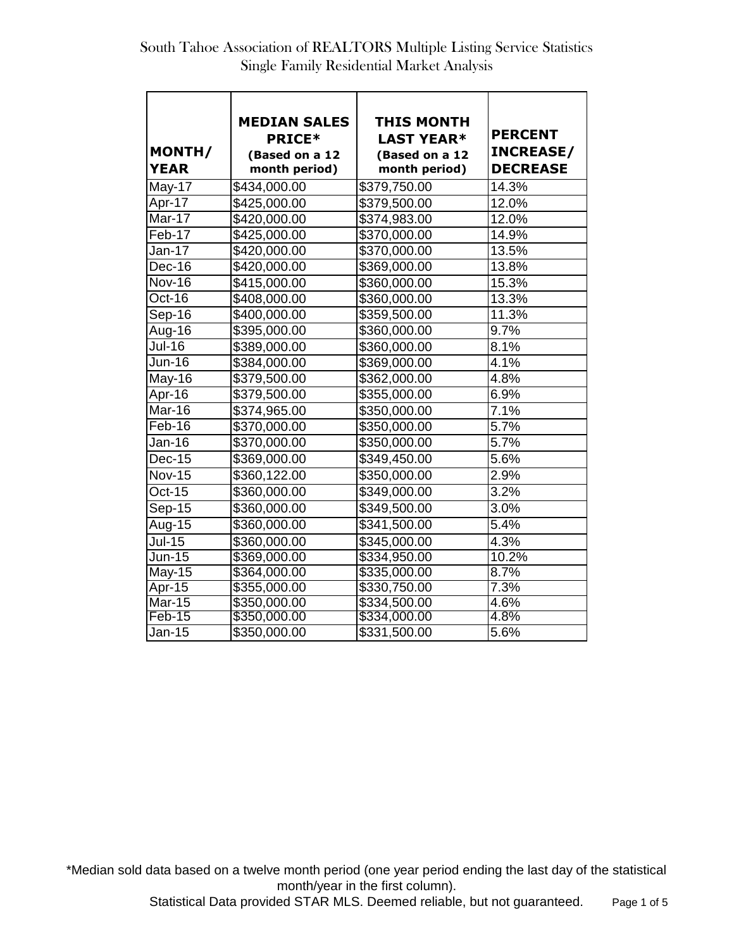| MONTH/<br><b>YEAR</b> | <b>MEDIAN SALES</b><br><b>PRICE*</b><br>(Based on a 12<br>month period) | <b>THIS MONTH</b><br><b>LAST YEAR*</b><br>(Based on a 12<br>month period) | <b>PERCENT</b><br><b>INCREASE/</b><br><b>DECREASE</b> |
|-----------------------|-------------------------------------------------------------------------|---------------------------------------------------------------------------|-------------------------------------------------------|
| <b>May-17</b>         | \$434,000.00                                                            | \$379,750.00                                                              | 14.3%                                                 |
| Apr-17                | \$425,000.00                                                            | \$379,500.00                                                              | 12.0%                                                 |
| Mar-17                | \$420,000.00                                                            | \$374,983.00                                                              | 12.0%                                                 |
| Feb-17                | \$425,000.00                                                            | \$370,000.00                                                              | 14.9%                                                 |
| Jan-17                | \$420,000.00                                                            | \$370,000.00                                                              | 13.5%                                                 |
| Dec-16                | \$420,000.00                                                            | \$369,000.00                                                              | 13.8%                                                 |
| <b>Nov-16</b>         | \$415,000.00                                                            | \$360,000.00                                                              | 15.3%                                                 |
| Oct-16                | \$408,000.00                                                            | \$360,000.00                                                              | 13.3%                                                 |
| Sep-16                | \$400,000.00                                                            | \$359,500.00                                                              | 11.3%                                                 |
| Aug-16                | \$395,000.00                                                            | \$360,000.00                                                              | 9.7%                                                  |
| <b>Jul-16</b>         | \$389,000.00                                                            | \$360,000.00                                                              | 8.1%                                                  |
| <b>Jun-16</b>         | \$384,000.00                                                            | \$369,000.00                                                              | 4.1%                                                  |
| May-16                | \$379,500.00                                                            | \$362,000.00                                                              | 4.8%                                                  |
| Apr-16                | \$379,500.00                                                            | \$355,000.00                                                              | 6.9%                                                  |
| Mar-16                | \$374,965.00                                                            | \$350,000.00                                                              | 7.1%                                                  |
| Feb-16                | \$370,000.00                                                            | \$350,000.00                                                              | 5.7%                                                  |
| Jan-16                | \$370,000.00                                                            | \$350,000.00                                                              | 5.7%                                                  |
| <b>Dec-15</b>         | \$369,000.00                                                            | \$349,450.00                                                              | 5.6%                                                  |
| <b>Nov-15</b>         | \$360,122.00                                                            | \$350,000.00                                                              | 2.9%                                                  |
| <b>Oct-15</b>         | \$360,000.00                                                            | \$349,000.00                                                              | 3.2%                                                  |
| Sep-15                | \$360,000.00                                                            | \$349,500.00                                                              | 3.0%                                                  |
| Aug-15                | \$360,000.00                                                            | \$341,500.00                                                              | 5.4%                                                  |
| <b>Jul-15</b>         | \$360,000.00                                                            | \$345,000.00                                                              | 4.3%                                                  |
| Jun-15                | \$369,000.00                                                            | \$334,950.00                                                              | 10.2%                                                 |
| $May-15$              | \$364,000.00                                                            | \$335,000.00                                                              | 8.7%                                                  |
| Apr-15                | \$355,000.00                                                            | \$330,750.00                                                              | 7.3%                                                  |
| <b>Mar-15</b>         | \$350,000.00                                                            | \$334,500.00                                                              | 4.6%                                                  |
| Feb-15                | \$350,000.00                                                            | \$334,000.00                                                              | 4.8%                                                  |
| Jan-15                | \$350,000.00                                                            | \$331,500.00                                                              | 5.6%                                                  |

\*Median sold data based on a twelve month period (one year period ending the last day of the statistical month/year in the first column).

Statistical Data provided STAR MLS. Deemed reliable, but not guaranteed. Page 1 of 5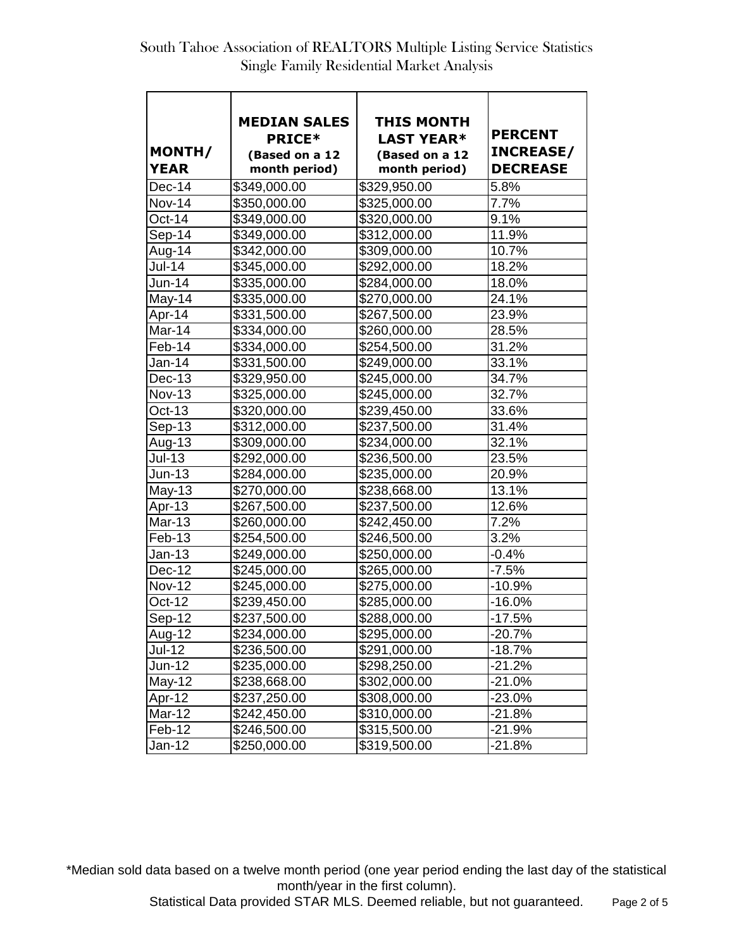| MONTH/<br><b>YEAR</b>         | <b>MEDIAN SALES</b><br><b>PRICE*</b><br>(Based on a 12<br>month period) | <b>THIS MONTH</b><br><b>LAST YEAR*</b><br>(Based on a 12<br>month period) | <b>PERCENT</b><br><b>INCREASE/</b><br><b>DECREASE</b> |
|-------------------------------|-------------------------------------------------------------------------|---------------------------------------------------------------------------|-------------------------------------------------------|
| Dec-14                        | \$349,000.00                                                            | \$329,950.00                                                              | 5.8%                                                  |
| <b>Nov-14</b>                 | \$350,000.00                                                            | \$325,000.00                                                              | 7.7%                                                  |
| $Oct-14$                      | \$349,000.00                                                            | \$320,000.00                                                              | 9.1%                                                  |
| Sep-14                        | \$349,000.00                                                            | \$312,000.00                                                              | 11.9%                                                 |
| Aug-14                        | \$342,000.00                                                            | \$309,000.00                                                              | 10.7%                                                 |
| <b>Jul-14</b>                 | \$345,000.00                                                            | \$292,000.00                                                              | 18.2%                                                 |
| Jun-14                        | \$335,000.00                                                            | \$284,000.00                                                              | 18.0%                                                 |
| May-14                        | \$335,000.00                                                            | \$270,000.00                                                              | 24.1%                                                 |
| Apr-14                        | \$331,500.00                                                            | \$267,500.00                                                              | 23.9%                                                 |
| Mar-14                        | \$334,000.00                                                            | \$260,000.00                                                              | 28.5%                                                 |
| Feb-14                        | \$334,000.00                                                            | \$254,500.00                                                              | 31.2%                                                 |
| Jan-14                        | \$331,500.00                                                            | \$249,000.00                                                              | 33.1%                                                 |
| Dec-13                        | \$329,950.00                                                            | \$245,000.00                                                              | 34.7%                                                 |
| <b>Nov-13</b>                 | \$325,000.00                                                            | \$245,000.00                                                              | 32.7%                                                 |
| $Oct-13$                      | \$320,000.00                                                            | \$239,450.00                                                              | 33.6%                                                 |
| $Sep-13$                      | \$312,000.00                                                            | \$237,500.00                                                              | 31.4%                                                 |
| Aug-13                        | \$309,000.00                                                            | \$234,000.00                                                              | 32.1%                                                 |
| $Jul-13$                      | \$292,000.00                                                            | \$236,500.00                                                              | 23.5%                                                 |
| $Jun-13$                      | \$284,000.00                                                            | \$235,000.00                                                              | 20.9%                                                 |
| $May-13$                      | $\sqrt{270,000.00}$                                                     | \$238,668.00                                                              | 13.1%                                                 |
| Apr-13                        | \$267,500.00                                                            | \$237,500.00                                                              | 12.6%                                                 |
| $\overline{\mathsf{M}}$ ar-13 | \$260,000.00                                                            | \$242,450.00                                                              | 7.2%                                                  |
| Feb-13                        | \$254,500.00                                                            | \$246,500.00                                                              | 3.2%                                                  |
| Jan-13                        | \$249,000.00                                                            | $\sqrt{250,000.00}$                                                       | $-0.4%$                                               |
| $Dec-12$                      | $\overline{$}245,000.00$                                                | \$265,000.00                                                              | $-7.5%$                                               |
| Nov-12                        | \$245,000.00                                                            | \$275,000.00                                                              | $-10.9%$                                              |
| $Oct-12$                      | \$239,450.00                                                            | \$285,000.00                                                              | $-16.0%$                                              |
| Sep-12                        | \$237,500.00                                                            | \$288,000.00                                                              | $-17.5%$                                              |
| Aug-12                        | \$234,000.00                                                            | \$295,000.00                                                              | $-20.7%$                                              |
| <b>Jul-12</b>                 | \$236,500.00                                                            | \$291,000.00                                                              | $-18.7%$                                              |
| <b>Jun-12</b>                 | \$235,000.00                                                            | \$298,250.00                                                              | $-21.2%$                                              |
| May-12                        | \$238,668.00                                                            | \$302,000.00                                                              | $-21.0\%$                                             |
| Apr-12                        | \$237,250.00                                                            | \$308,000.00                                                              | $-23.0%$                                              |
| Mar-12                        | \$242,450.00                                                            | \$310,000.00                                                              | $-21.8%$                                              |
| Feb-12                        | \$246,500.00                                                            | \$315,500.00                                                              | -21.9%                                                |
| Jan-12                        | \$250,000.00                                                            | \$319,500.00                                                              | $-21.8%$                                              |

\*Median sold data based on a twelve month period (one year period ending the last day of the statistical month/year in the first column).

Statistical Data provided STAR MLS. Deemed reliable, but not guaranteed. Page 2 of 5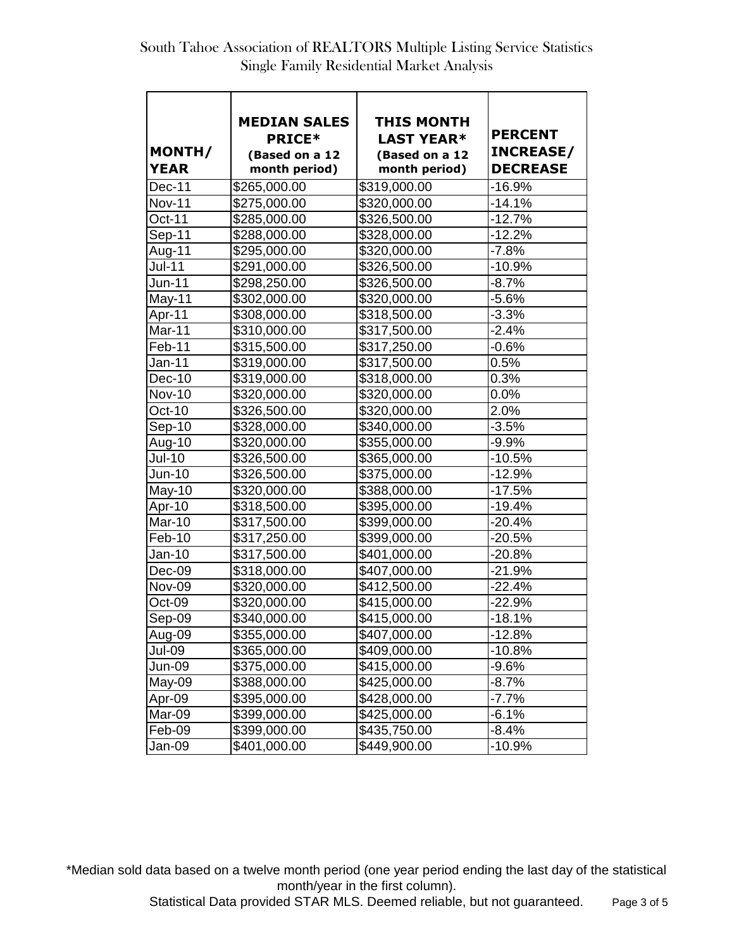| MONTH/<br><b>YEAR</b> | <b>MEDIAN SALES</b><br><b>PRICE*</b><br>(Based on a 12<br>month period) | <b>THIS MONTH</b><br><b>LAST YEAR*</b><br>(Based on a 12<br>month period) | <b>PERCENT</b><br><b>INCREASE/</b><br><b>DECREASE</b> |
|-----------------------|-------------------------------------------------------------------------|---------------------------------------------------------------------------|-------------------------------------------------------|
| Dec-11                | \$265,000.00                                                            | \$319,000.00                                                              | $-16.9%$                                              |
| <b>Nov-11</b>         | \$275,000.00                                                            | \$320,000.00                                                              | $-14.1%$                                              |
| Oct-11                | \$285,000.00                                                            | \$326,500.00                                                              | $-12.7%$                                              |
| Sep-11                | \$288,000.00                                                            | \$328,000.00                                                              | $-12.2%$                                              |
| Aug-11                | \$295,000.00                                                            | \$320,000.00                                                              | $-7.8%$                                               |
| <b>Jul-11</b>         | \$291,000.00                                                            | \$326,500.00                                                              | $-10.9%$                                              |
| <b>Jun-11</b>         | \$298,250.00                                                            | \$326,500.00                                                              | $-8.7%$                                               |
| May-11                | \$302,000.00                                                            | \$320,000.00                                                              | $-5.6%$                                               |
| Apr-11                | \$308,000.00                                                            | \$318,500.00                                                              | $-3.3%$                                               |
| Mar-11                | \$310,000.00                                                            | \$317,500.00                                                              | $-2.4%$                                               |
| Feb-11                | \$315,500.00                                                            | \$317,250.00                                                              | $-0.6%$                                               |
| Jan-11                | \$319,000.00                                                            | \$317,500.00                                                              | 0.5%                                                  |
| Dec-10                | \$319,000.00                                                            | \$318,000.00                                                              | 0.3%                                                  |
| <b>Nov-10</b>         | \$320,000.00                                                            | \$320,000.00                                                              | 0.0%                                                  |
| Oct-10                | \$326,500.00                                                            | \$320,000.00                                                              | 2.0%                                                  |
| $Sep-10$              | \$328,000.00                                                            | \$340,000.00                                                              | $-3.5%$                                               |
| Aug-10                | \$320,000.00                                                            | \$355,000.00                                                              | $-9.9%$                                               |
| <b>Jul-10</b>         | \$326,500.00                                                            | \$365,000.00                                                              | $-10.5%$                                              |
| <b>Jun-10</b>         | \$326,500.00                                                            | \$375,000.00                                                              | $-12.9%$                                              |
| May-10                | \$320,000.00                                                            | \$388,000.00                                                              | $-17.5%$                                              |
| Apr-10                | \$318,500.00                                                            | \$395,000.00                                                              | $-19.4%$                                              |
| Mar-10                | \$317,500.00                                                            | \$399,000.00                                                              | $-20.4%$                                              |
| Feb-10                | \$317,250.00                                                            | \$399,000.00                                                              | $-20.5%$                                              |
| Jan-10                | \$317,500.00                                                            | \$401,000.00                                                              | $-20.8%$                                              |
| Dec-09                | \$318,000.00                                                            | \$407,000.00                                                              | $-21.9%$                                              |
| Nov-09                | \$320,000.00                                                            | \$412,500.00                                                              | $-22.4%$                                              |
| Oct-09                | \$320,000.00                                                            | \$415,000.00                                                              | $-22.9%$                                              |
| Sep-09                | \$340,000.00                                                            | \$415,000.00                                                              | $-18.1%$                                              |
| Aug-09                | \$355,000.00                                                            | \$407,000.00                                                              | $-12.8%$                                              |
| Jul-09                | \$365,000.00                                                            | \$409,000.00                                                              | $-10.8%$                                              |
| <b>Jun-09</b>         | \$375,000.00                                                            | \$415,000.00                                                              | $-9.6%$                                               |
| May-09                | \$388,000.00                                                            | \$425,000.00                                                              | $-8.7%$                                               |
| Apr-09                | \$395,000.00                                                            | \$428,000.00                                                              | $-7.7%$                                               |
| Mar-09                | \$399,000.00                                                            | \$425,000.00                                                              | $-6.1%$                                               |
| Feb-09                | \$399,000.00                                                            | \$435,750.00                                                              | $-8.4%$                                               |
| Jan-09                | \$401,000.00                                                            | \$449,900.00                                                              | $-10.9%$                                              |

\*Median sold data based on a twelve month period (one year period ending the last day of the statistical month/year in the first column).

Statistical Data provided STAR MLS. Deemed reliable, but not guaranteed. Page 3 of 5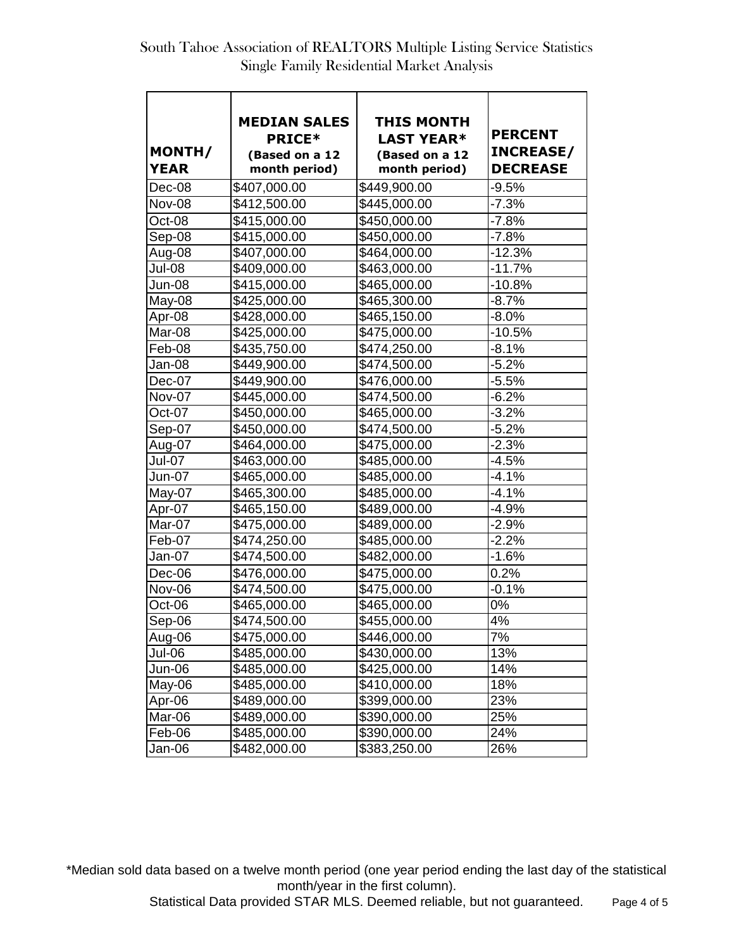| MONTH/<br><b>YEAR</b> | <b>MEDIAN SALES</b><br><b>PRICE*</b><br>(Based on a 12<br>month period) | THIS MONTH<br><b>LAST YEAR*</b><br>(Based on a 12<br>month period) | <b>PERCENT</b><br><b>INCREASE/</b><br><b>DECREASE</b> |
|-----------------------|-------------------------------------------------------------------------|--------------------------------------------------------------------|-------------------------------------------------------|
| Dec-08                | \$407,000.00                                                            | \$449,900.00                                                       | $-9.5%$                                               |
| <b>Nov-08</b>         | \$412,500.00                                                            | \$445,000.00                                                       | $-7.3%$                                               |
| Oct-08                | \$415,000.00                                                            | \$450,000.00                                                       | $-7.8%$                                               |
| Sep-08                | \$415,000.00                                                            | \$450,000.00                                                       | $-7.8%$                                               |
| Aug-08                | \$407,000.00                                                            | \$464,000.00                                                       | $-12.3%$                                              |
| Jul-08                | \$409,000.00                                                            | \$463,000.00                                                       | $-11.7%$                                              |
| Jun-08                | \$415,000.00                                                            | \$465,000.00                                                       | $-10.8%$                                              |
| May-08                | \$425,000.00                                                            | \$465,300.00                                                       | $-8.7%$                                               |
| Apr-08                | \$428,000.00                                                            | \$465,150.00                                                       | $-8.0\%$                                              |
| Mar-08                | \$425,000.00                                                            | \$475,000.00                                                       | $-10.5%$                                              |
| Feb-08                | \$435,750.00                                                            | \$474,250.00                                                       | $-8.1%$                                               |
| Jan-08                | \$449,900.00                                                            | \$474,500.00                                                       | $-5.2%$                                               |
| Dec-07                | \$449,900.00                                                            | \$476,000.00                                                       | $-5.5%$                                               |
| Nov-07                | \$445,000.00                                                            | \$474,500.00                                                       | $-6.2%$                                               |
| Oct-07                | \$450,000.00                                                            | \$465,000.00                                                       | $-3.2%$                                               |
| Sep-07                | \$450,000.00                                                            | \$474,500.00                                                       | $-5.2%$                                               |
| Aug-07                | \$464,000.00                                                            | \$475,000.00                                                       | $-2.3%$                                               |
| Jul-07                | \$463,000.00                                                            | \$485,000.00                                                       | $-4.5%$                                               |
| <b>Jun-07</b>         | \$465,000.00                                                            | \$485,000.00                                                       | $-4.1%$                                               |
| May-07                | \$465,300.00                                                            | \$485,000.00                                                       | $-4.1%$                                               |
| Apr-07                | \$465,150.00                                                            | \$489,000.00                                                       | $-4.9%$                                               |
| Mar-07                | \$475,000.00                                                            | \$489,000.00                                                       | $-2.9%$                                               |
| Feb-07                | \$474,250.00                                                            | \$485,000.00                                                       | $-2.2%$                                               |
| Jan-07                | \$474,500.00                                                            | \$482,000.00                                                       | $-1.6%$                                               |
| Dec-06                | \$476,000.00                                                            | \$475,000.00                                                       | 0.2%                                                  |
| Nov-06                | \$474,500.00                                                            | \$475,000.00                                                       | $-0.1%$                                               |
| Oct-06                | \$465,000.00                                                            | \$465,000.00                                                       | 0%                                                    |
| Sep-06                | \$474,500.00                                                            | \$455,000.00                                                       | 4%                                                    |
| Aug-06                | \$475,000.00                                                            | \$446,000.00                                                       | 7%                                                    |
| Jul-06                | \$485,000.00                                                            | \$430,000.00                                                       | 13%                                                   |
| Jun-06                | \$485,000.00                                                            | \$425,000.00                                                       | 14%                                                   |
| May-06                | \$485,000.00                                                            | \$410,000.00                                                       | 18%                                                   |
| Apr-06                | \$489,000.00                                                            | \$399,000.00                                                       | 23%                                                   |
| Mar-06                | \$489,000.00                                                            | \$390,000.00                                                       | 25%                                                   |
| Feb-06                | \$485,000.00                                                            | \$390,000.00                                                       | 24%                                                   |
| Jan-06                | \$482,000.00                                                            | \$383,250.00                                                       | 26%                                                   |

\*Median sold data based on a twelve month period (one year period ending the last day of the statistical month/year in the first column).

Statistical Data provided STAR MLS. Deemed reliable, but not guaranteed. Page 4 of 5